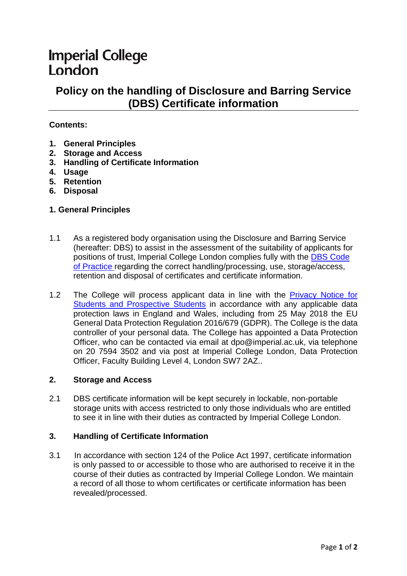# **Imperial College** London

# **Policy on the handling of Disclosure and Barring Service (DBS) Certificate information**

## **Contents:**

- **1. General Principles**
- **2. Storage and Access**
- **3. Handling of Certificate Information**
- **4. Usage**
- **5. Retention**
- **6. Disposal**

### **1. General Principles**

- 1.1 As a registered body organisation using the Disclosure and Barring Service (hereafter: DBS) to assist in the assessment of the suitability of applicants for positions of trust, Imperial College London complies fully with the [DBS Code](https://www.gov.uk/government/publications/dbs-code-of-practice)  [of Practice](https://www.gov.uk/government/publications/dbs-code-of-practice) regarding the correct handling/processing, use, storage/access, retention and disposal of certificates and certificate information.
- 1.2 The College will process applicant data in line with the Privacy Notice for [Students and Prospective Students](https://www.imperial.ac.uk/media/imperial-college/administration-and-support-services/registry/academic-governance/public/academic-policy/admissions/Privacy-notice.pdf) in accordance with any applicable data protection laws in England and Wales, including from 25 May 2018 the EU General Data Protection Regulation 2016/679 (GDPR). The College is the data controller of your personal data. The College has appointed a Data Protection Officer, who can be contacted via email at dpo@imperial.ac.uk, via telephone on 20 7594 3502 and via post at Imperial College London, Data Protection Officer, Faculty Building Level 4, London SW7 2AZ..

#### **2. Storage and Access**

2.1 DBS certificate information will be kept securely in lockable, non-portable storage units with access restricted to only those individuals who are entitled to see it in line with their duties as contracted by Imperial College London.

## **3. Handling of Certificate Information**

3.1 In accordance with section 124 of the Police Act 1997, certificate information is only passed to or accessible to those who are authorised to receive it in the course of their duties as contracted by Imperial College London. We maintain a record of all those to whom certificates or certificate information has been revealed/processed.